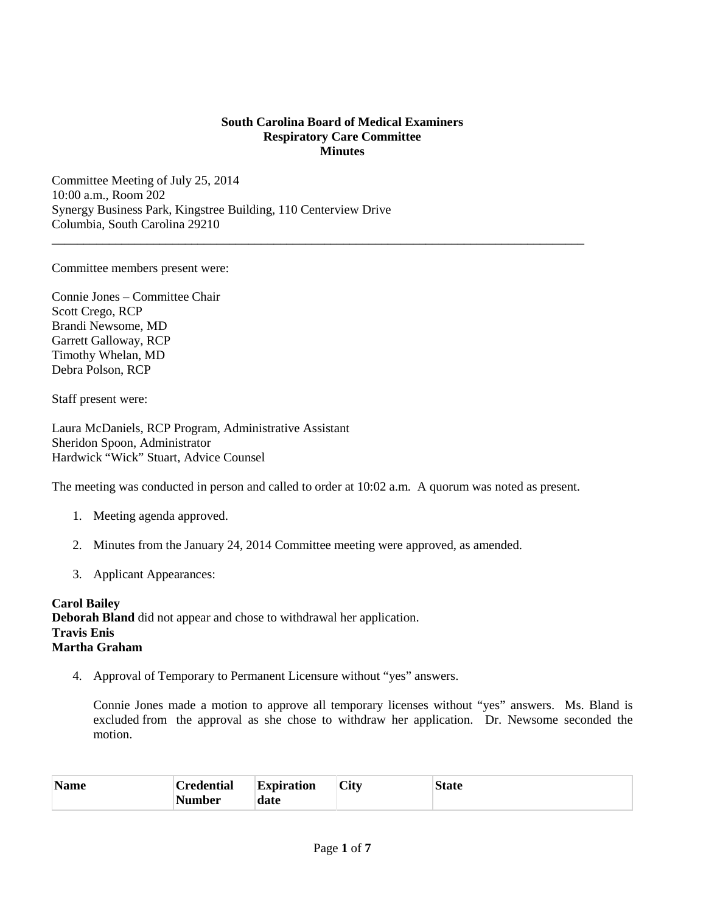## **South Carolina Board of Medical Examiners Respiratory Care Committee Minutes**

\_\_\_\_\_\_\_\_\_\_\_\_\_\_\_\_\_\_\_\_\_\_\_\_\_\_\_\_\_\_\_\_\_\_\_\_\_\_\_\_\_\_\_\_\_\_\_\_\_\_\_\_\_\_\_\_\_\_\_\_\_\_\_\_\_\_\_\_\_\_\_\_\_\_\_\_\_\_\_\_\_\_\_\_

Committee Meeting of July 25, 2014 10:00 a.m., Room 202 Synergy Business Park, Kingstree Building, 110 Centerview Drive Columbia, South Carolina 29210

Committee members present were:

Connie Jones – Committee Chair Scott Crego, RCP Brandi Newsome, MD Garrett Galloway, RCP Timothy Whelan, MD Debra Polson, RCP

Staff present were:

Laura McDaniels, RCP Program, Administrative Assistant Sheridon Spoon, Administrator Hardwick "Wick" Stuart, Advice Counsel

The meeting was conducted in person and called to order at 10:02 a.m. A quorum was noted as present.

- 1. Meeting agenda approved.
- 2. Minutes from the January 24, 2014 Committee meeting were approved, as amended.
- 3. Applicant Appearances:

**Carol Bailey Deborah Bland** did not appear and chose to withdrawal her application. **Travis Enis Martha Graham**

4. Approval of Temporary to Permanent Licensure without "yes" answers.

 Connie Jones made a motion to approve all temporary licenses without "yes" answers. Ms. Bland is excluded from the approval as she chose to withdraw her application. Dr. Newsome seconded the motion.

| <b>Name</b> | C <b>redential</b> | <b>Expiration</b> | <b>City</b> | <b>State</b> |
|-------------|--------------------|-------------------|-------------|--------------|
|             | <b>Number</b>      | date              |             |              |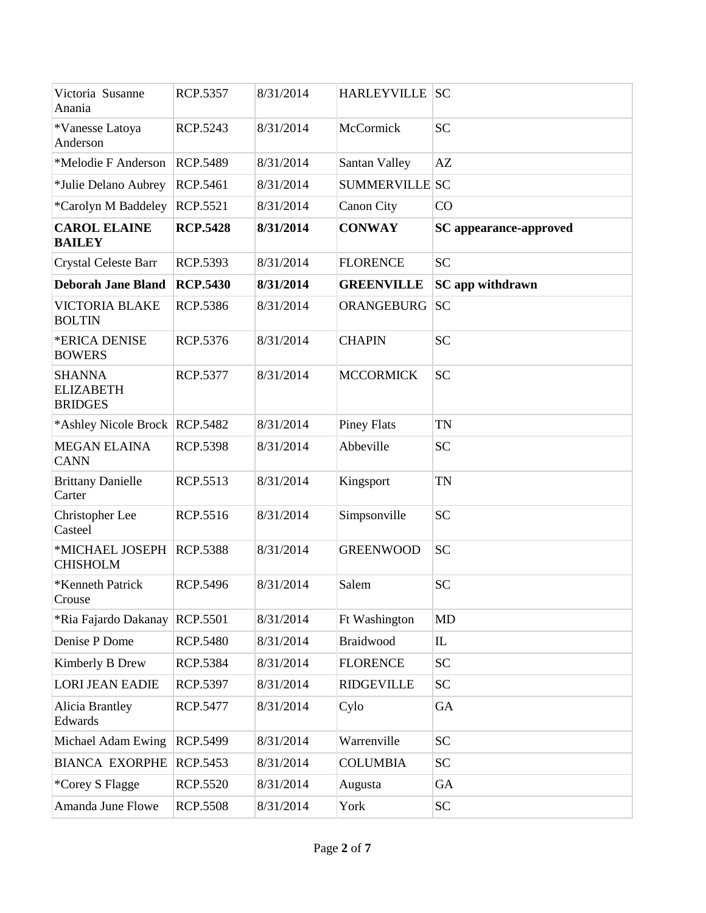| Victoria Susanne                                    | <b>RCP.5357</b> | 8/31/2014 | <b>HARLEYVILLE</b> SC |                                 |
|-----------------------------------------------------|-----------------|-----------|-----------------------|---------------------------------|
| Anania                                              |                 |           |                       |                                 |
| *Vanesse Latoya<br>Anderson                         | RCP.5243        | 8/31/2014 | McCormick             | <b>SC</b>                       |
| *Melodie F Anderson                                 | <b>RCP.5489</b> | 8/31/2014 | Santan Valley         | AZ                              |
| *Julie Delano Aubrey                                | RCP.5461        | 8/31/2014 | <b>SUMMERVILLE SC</b> |                                 |
| *Carolyn M Baddeley                                 | <b>RCP.5521</b> | 8/31/2014 | <b>Canon City</b>     | CO                              |
| <b>CAROL ELAINE</b><br><b>BAILEY</b>                | <b>RCP.5428</b> | 8/31/2014 | <b>CONWAY</b>         | <b>SC</b> appearance-approved   |
| <b>Crystal Celeste Barr</b>                         | RCP.5393        | 8/31/2014 | <b>FLORENCE</b>       | <b>SC</b>                       |
| <b>Deborah Jane Bland</b>                           | <b>RCP.5430</b> | 8/31/2014 | <b>GREENVILLE</b>     | SC app withdrawn                |
| <b>VICTORIA BLAKE</b><br><b>BOLTIN</b>              | <b>RCP.5386</b> | 8/31/2014 | ORANGEBURG            | <b>SC</b>                       |
| *ERICA DENISE<br><b>BOWERS</b>                      | <b>RCP.5376</b> | 8/31/2014 | <b>CHAPIN</b>         | <b>SC</b>                       |
| <b>SHANNA</b><br><b>ELIZABETH</b><br><b>BRIDGES</b> | <b>RCP.5377</b> | 8/31/2014 | <b>MCCORMICK</b>      | <b>SC</b>                       |
| *Ashley Nicole Brock   RCP.5482                     |                 | 8/31/2014 | <b>Piney Flats</b>    | <b>TN</b>                       |
| <b>MEGAN ELAINA</b><br><b>CANN</b>                  | <b>RCP.5398</b> | 8/31/2014 | Abbeville             | <b>SC</b>                       |
| <b>Brittany Danielle</b><br>Carter                  | RCP.5513        | 8/31/2014 | Kingsport             | <b>TN</b>                       |
| Christopher Lee<br>Casteel                          | <b>RCP.5516</b> | 8/31/2014 | Simpsonville          | <b>SC</b>                       |
| *MICHAEL JOSEPH<br><b>CHISHOLM</b>                  | <b>RCP.5388</b> | 8/31/2014 | <b>GREENWOOD</b>      | <b>SC</b>                       |
| *Kenneth Patrick<br>Crouse                          | <b>RCP.5496</b> | 8/31/2014 | Salem                 | <b>SC</b>                       |
| *Ria Fajardo Dakanay                                | <b>RCP.5501</b> | 8/31/2014 | Ft Washington         | MD                              |
| Denise P Dome                                       | <b>RCP.5480</b> | 8/31/2014 | Braidwood             | $\mathop{\mathrm{IL}}\nolimits$ |
| Kimberly B Drew                                     | RCP.5384        | 8/31/2014 | <b>FLORENCE</b>       | SC                              |
| <b>LORI JEAN EADIE</b>                              | RCP.5397        | 8/31/2014 | <b>RIDGEVILLE</b>     | <b>SC</b>                       |
| Alicia Brantley<br>Edwards                          | <b>RCP.5477</b> | 8/31/2014 | Cylo                  | GA                              |
| Michael Adam Ewing                                  | RCP.5499        | 8/31/2014 | Warrenville           | <b>SC</b>                       |
| <b>BIANCA EXORPHE</b>                               | RCP.5453        | 8/31/2014 | <b>COLUMBIA</b>       | <b>SC</b>                       |
| *Corey S Flagge                                     | <b>RCP.5520</b> | 8/31/2014 | Augusta               | GA                              |
| Amanda June Flowe                                   | <b>RCP.5508</b> | 8/31/2014 | York                  | <b>SC</b>                       |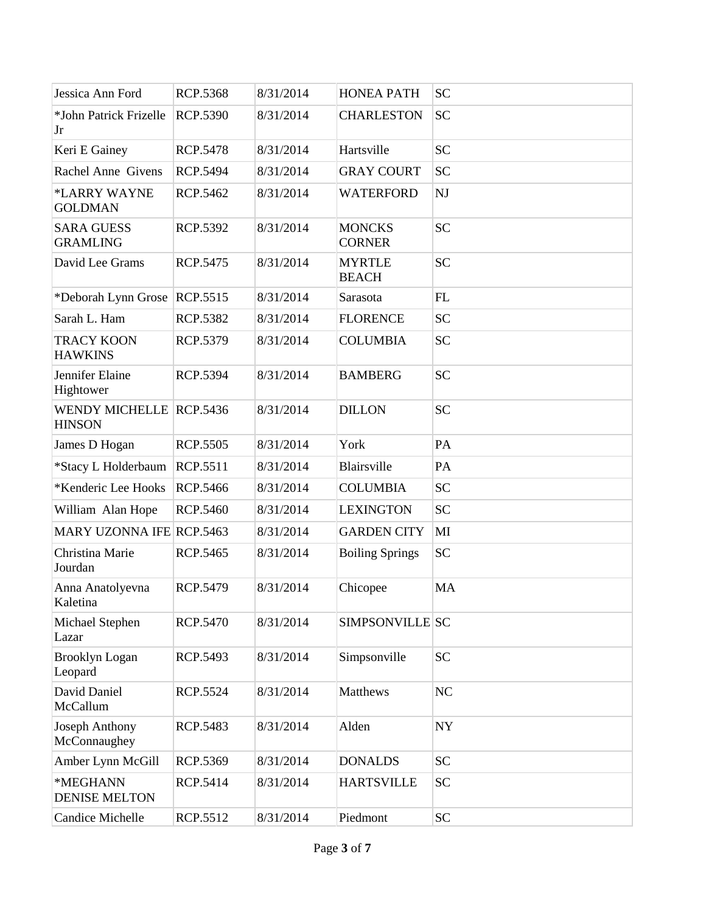| Jessica Ann Ford                                | <b>RCP.5368</b> | 8/31/2014 | <b>HONEA PATH</b>              | <b>SC</b> |
|-------------------------------------------------|-----------------|-----------|--------------------------------|-----------|
| *John Patrick Frizelle<br>Jr                    | <b>RCP.5390</b> | 8/31/2014 | <b>CHARLESTON</b>              | <b>SC</b> |
| Keri E Gainey                                   | <b>RCP.5478</b> | 8/31/2014 | Hartsville                     | <b>SC</b> |
| Rachel Anne Givens                              | <b>RCP.5494</b> | 8/31/2014 | <b>GRAY COURT</b>              | <b>SC</b> |
| *LARRY WAYNE<br><b>GOLDMAN</b>                  | RCP.5462        | 8/31/2014 | <b>WATERFORD</b>               | NJ        |
| <b>SARA GUESS</b><br><b>GRAMLING</b>            | RCP.5392        | 8/31/2014 | <b>MONCKS</b><br><b>CORNER</b> | <b>SC</b> |
| David Lee Grams                                 | RCP.5475        | 8/31/2014 | <b>MYRTLE</b><br><b>BEACH</b>  | <b>SC</b> |
| *Deborah Lynn Grose RCP.5515                    |                 | 8/31/2014 | Sarasota                       | FL        |
| Sarah L. Ham                                    | <b>RCP.5382</b> | 8/31/2014 | <b>FLORENCE</b>                | <b>SC</b> |
| <b>TRACY KOON</b><br><b>HAWKINS</b>             | RCP.5379        | 8/31/2014 | <b>COLUMBIA</b>                | <b>SC</b> |
| Jennifer Elaine<br>Hightower                    | RCP.5394        | 8/31/2014 | <b>BAMBERG</b>                 | <b>SC</b> |
| <b>WENDY MICHELLE RCP.5436</b><br><b>HINSON</b> |                 | 8/31/2014 | <b>DILLON</b>                  | <b>SC</b> |
| James D Hogan                                   | <b>RCP.5505</b> | 8/31/2014 | York                           | PA        |
| *Stacy L Holderbaum                             | <b>RCP.5511</b> | 8/31/2014 | Blairsville                    | PA        |
| *Kenderic Lee Hooks                             | <b>RCP.5466</b> | 8/31/2014 | <b>COLUMBIA</b>                | <b>SC</b> |
| William Alan Hope                               | <b>RCP.5460</b> | 8/31/2014 | <b>LEXINGTON</b>               | <b>SC</b> |
| <b>MARY UZONNA IFE RCP.5463</b>                 |                 | 8/31/2014 | <b>GARDEN CITY</b>             | MI        |
| Christina Marie<br>Jourdan                      | RCP.5465        | 8/31/2014 | <b>Boiling Springs</b>         | <b>SC</b> |
| Anna Anatolyevna<br>Kaletina                    | RCP.5479        | 8/31/2014 | Chicopee                       | MA        |
| Michael Stephen<br>Lazar                        | <b>RCP.5470</b> | 8/31/2014 | SIMPSONVILLE SC                |           |
| <b>Brooklyn Logan</b><br>Leopard                | RCP.5493        | 8/31/2014 | Simpsonville                   | <b>SC</b> |
| David Daniel<br>McCallum                        | <b>RCP.5524</b> | 8/31/2014 | Matthews                       | NC        |
| Joseph Anthony<br>McConnaughey                  | RCP.5483        | 8/31/2014 | Alden                          | <b>NY</b> |
| Amber Lynn McGill                               | RCP.5369        | 8/31/2014 | <b>DONALDS</b>                 | <b>SC</b> |
| *MEGHANN<br><b>DENISE MELTON</b>                | RCP.5414        | 8/31/2014 | <b>HARTSVILLE</b>              | <b>SC</b> |
| <b>Candice Michelle</b>                         | RCP.5512        | 8/31/2014 | Piedmont                       | <b>SC</b> |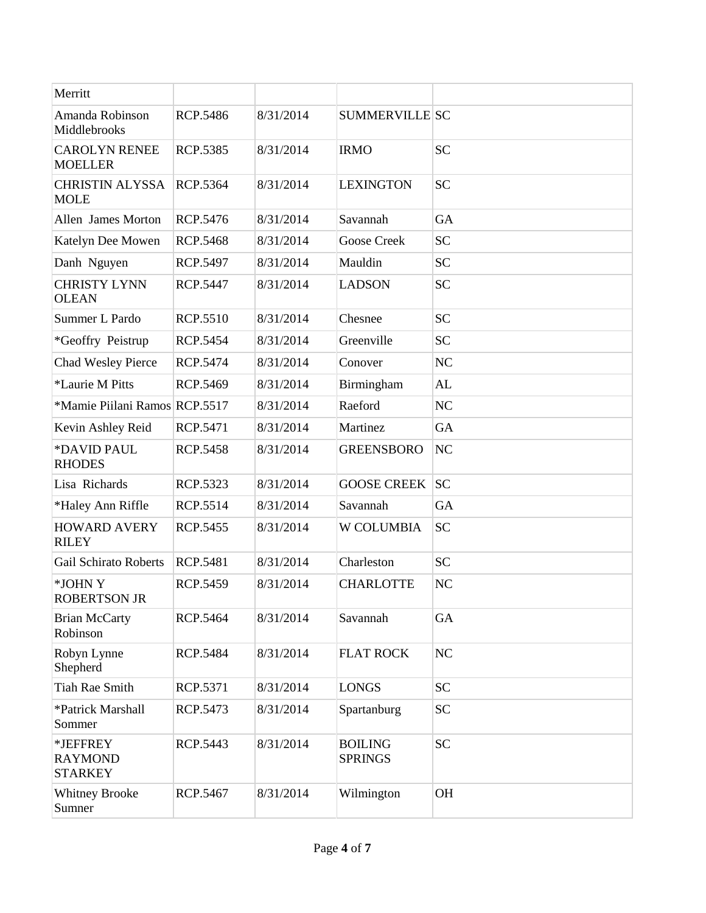| Merritt                                      |                 |           |                                  |           |
|----------------------------------------------|-----------------|-----------|----------------------------------|-----------|
| Amanda Robinson<br>Middlebrooks              | <b>RCP.5486</b> | 8/31/2014 | <b>SUMMERVILLE SC</b>            |           |
| <b>CAROLYN RENEE</b><br><b>MOELLER</b>       | <b>RCP.5385</b> | 8/31/2014 | <b>IRMO</b>                      | <b>SC</b> |
| <b>CHRISTIN ALYSSA</b><br><b>MOLE</b>        | <b>RCP.5364</b> | 8/31/2014 | <b>LEXINGTON</b>                 | <b>SC</b> |
| Allen James Morton                           | <b>RCP.5476</b> | 8/31/2014 | Savannah                         | GA        |
| Katelyn Dee Mowen                            | <b>RCP.5468</b> | 8/31/2014 | <b>Goose Creek</b>               | <b>SC</b> |
| Danh Nguyen                                  | <b>RCP.5497</b> | 8/31/2014 | Mauldin                          | <b>SC</b> |
| <b>CHRISTY LYNN</b><br><b>OLEAN</b>          | <b>RCP.5447</b> | 8/31/2014 | <b>LADSON</b>                    | <b>SC</b> |
| Summer L Pardo                               | <b>RCP.5510</b> | 8/31/2014 | Chesnee                          | <b>SC</b> |
| *Geoffry Peistrup                            | <b>RCP.5454</b> | 8/31/2014 | Greenville                       | <b>SC</b> |
| Chad Wesley Pierce                           | RCP.5474        | 8/31/2014 | Conover                          | <b>NC</b> |
| *Laurie M Pitts                              | RCP.5469        | 8/31/2014 | Birmingham                       | AL        |
| *Mamie Piilani Ramos RCP.5517                |                 | 8/31/2014 | Raeford                          | NC        |
| Kevin Ashley Reid                            | RCP.5471        | 8/31/2014 | Martinez                         | <b>GA</b> |
| *DAVID PAUL<br><b>RHODES</b>                 | <b>RCP.5458</b> | 8/31/2014 | <b>GREENSBORO</b>                | NC        |
| Lisa Richards                                | RCP.5323        | 8/31/2014 | <b>GOOSE CREEK</b>               | <b>SC</b> |
| *Haley Ann Riffle                            | RCP.5514        | 8/31/2014 | Savannah                         | <b>GA</b> |
| <b>HOWARD AVERY</b><br><b>RILEY</b>          | RCP.5455        | 8/31/2014 | <b>W COLUMBIA</b>                | <b>SC</b> |
| <b>Gail Schirato Roberts</b>                 | RCP.5481        | 8/31/2014 | Charleston                       | <b>SC</b> |
| *JOHN Y<br><b>ROBERTSON JR</b>               | <b>RCP.5459</b> | 8/31/2014 | <b>CHARLOTTE</b>                 | <b>NC</b> |
| <b>Brian McCarty</b><br>Robinson             | <b>RCP.5464</b> | 8/31/2014 | Savannah                         | GA        |
| Robyn Lynne<br>Shepherd                      | <b>RCP.5484</b> | 8/31/2014 | <b>FLAT ROCK</b>                 | NC        |
| <b>Tiah Rae Smith</b>                        | RCP.5371        | 8/31/2014 | <b>LONGS</b>                     | <b>SC</b> |
| *Patrick Marshall<br>Sommer                  | RCP.5473        | 8/31/2014 | Spartanburg                      | <b>SC</b> |
| *JEFFREY<br><b>RAYMOND</b><br><b>STARKEY</b> | RCP.5443        | 8/31/2014 | <b>BOILING</b><br><b>SPRINGS</b> | <b>SC</b> |
| <b>Whitney Brooke</b><br>Sumner              | RCP.5467        | 8/31/2014 | Wilmington                       | <b>OH</b> |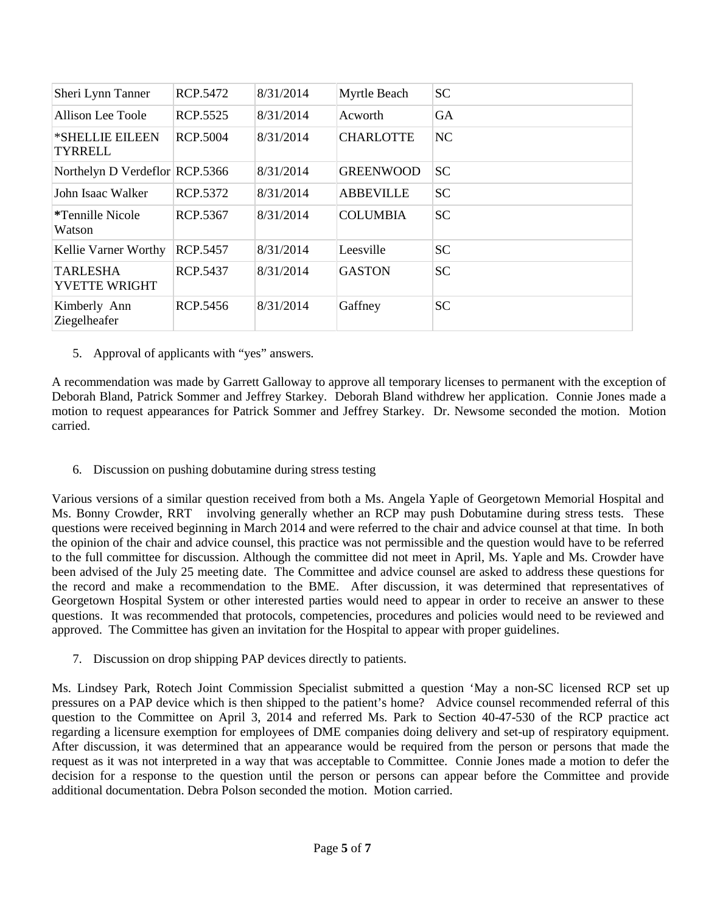| Sheri Lynn Tanner                       | RCP.5472        | 8/31/2014 | Myrtle Beach     | <b>SC</b> |
|-----------------------------------------|-----------------|-----------|------------------|-----------|
| Allison Lee Toole                       | <b>RCP.5525</b> | 8/31/2014 | Acworth          | <b>GA</b> |
| *SHELLIE EILEEN<br><b>TYRRELL</b>       | <b>RCP.5004</b> | 8/31/2014 | <b>CHARLOTTE</b> | <b>NC</b> |
| Northelyn D Verdeflor RCP.5366          |                 | 8/31/2014 | <b>GREENWOOD</b> | <b>SC</b> |
| John Isaac Walker                       | RCP.5372        | 8/31/2014 | <b>ABBEVILLE</b> | <b>SC</b> |
| <i>*</i> Tennille Nicole<br>Watson      | RCP.5367        | 8/31/2014 | <b>COLUMBIA</b>  | <b>SC</b> |
| Kellie Varner Worthy                    | <b>RCP.5457</b> | 8/31/2014 | Leesville        | <b>SC</b> |
| <b>TARLESHA</b><br><b>YVETTE WRIGHT</b> | RCP.5437        | 8/31/2014 | <b>GASTON</b>    | <b>SC</b> |
| Kimberly Ann<br>Ziegelheafer            | <b>RCP.5456</b> | 8/31/2014 | Gaffney          | <b>SC</b> |

5. Approval of applicants with "yes" answers.

A recommendation was made by Garrett Galloway to approve all temporary licenses to permanent with the exception of Deborah Bland, Patrick Sommer and Jeffrey Starkey. Deborah Bland withdrew her application. Connie Jones made a motion to request appearances for Patrick Sommer and Jeffrey Starkey. Dr. Newsome seconded the motion. Motion carried.

6. Discussion on pushing dobutamine during stress testing

Various versions of a similar question received from both a Ms. Angela Yaple of Georgetown Memorial Hospital and Ms. Bonny Crowder, RRT involving generally whether an RCP may push Dobutamine during stress tests. These questions were received beginning in March 2014 and were referred to the chair and advice counsel at that time. In both the opinion of the chair and advice counsel, this practice was not permissible and the question would have to be referred to the full committee for discussion. Although the committee did not meet in April, Ms. Yaple and Ms. Crowder have been advised of the July 25 meeting date. The Committee and advice counsel are asked to address these questions for the record and make a recommendation to the BME. After discussion, it was determined that representatives of Georgetown Hospital System or other interested parties would need to appear in order to receive an answer to these questions. It was recommended that protocols, competencies, procedures and policies would need to be reviewed and approved. The Committee has given an invitation for the Hospital to appear with proper guidelines.

7. Discussion on drop shipping PAP devices directly to patients.

Ms. Lindsey Park, Rotech Joint Commission Specialist submitted a question 'May a non-SC licensed RCP set up pressures on a PAP device which is then shipped to the patient's home? Advice counsel recommended referral of this question to the Committee on April 3, 2014 and referred Ms. Park to Section 40-47-530 of the RCP practice act regarding a licensure exemption for employees of DME companies doing delivery and set-up of respiratory equipment. After discussion, it was determined that an appearance would be required from the person or persons that made the request as it was not interpreted in a way that was acceptable to Committee. Connie Jones made a motion to defer the decision for a response to the question until the person or persons can appear before the Committee and provide additional documentation. Debra Polson seconded the motion. Motion carried.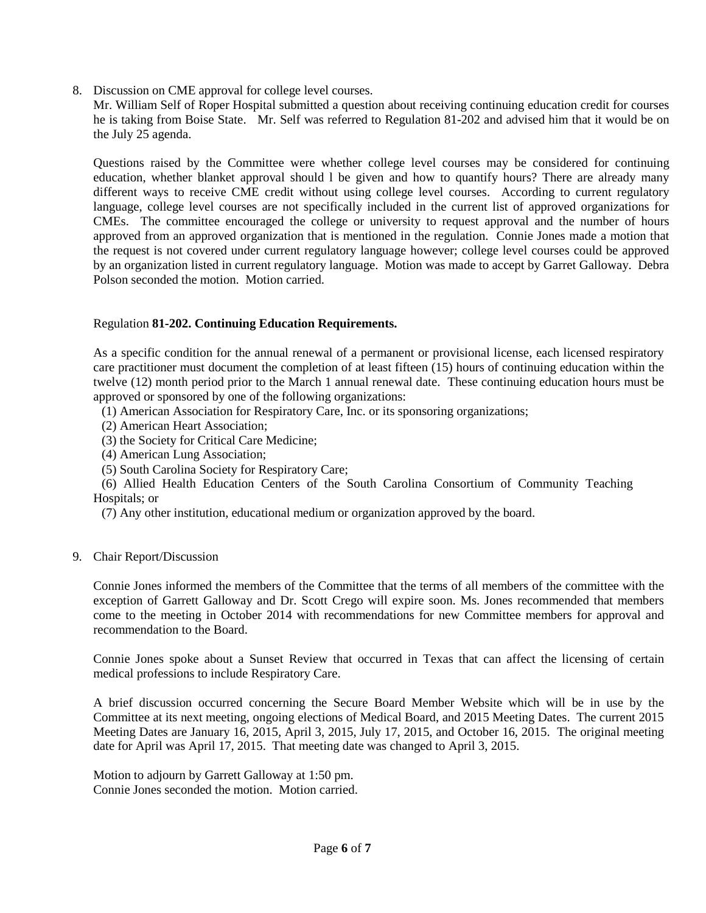8. Discussion on CME approval for college level courses.

Mr. William Self of Roper Hospital submitted a question about receiving continuing education credit for courses he is taking from Boise State. Mr. Self was referred to Regulation 81-202 and advised him that it would be on the July 25 agenda.

Questions raised by the Committee were whether college level courses may be considered for continuing education, whether blanket approval should l be given and how to quantify hours? There are already many different ways to receive CME credit without using college level courses. According to current regulatory language, college level courses are not specifically included in the current list of approved organizations for CMEs. The committee encouraged the college or university to request approval and the number of hours approved from an approved organization that is mentioned in the regulation. Connie Jones made a motion that the request is not covered under current regulatory language however; college level courses could be approved by an organization listed in current regulatory language. Motion was made to accept by Garret Galloway. Debra Polson seconded the motion. Motion carried.

## Regulation **81-202. Continuing Education Requirements.**

As a specific condition for the annual renewal of a permanent or provisional license, each licensed respiratory care practitioner must document the completion of at least fifteen (15) hours of continuing education within the twelve (12) month period prior to the March 1 annual renewal date. These continuing education hours must be approved or sponsored by one of the following organizations:

(1) American Association for Respiratory Care, Inc. or its sponsoring organizations;

- (2) American Heart Association;
- (3) the Society for Critical Care Medicine;
- (4) American Lung Association;
- (5) South Carolina Society for Respiratory Care;

(6) Allied Health Education Centers of the South Carolina Consortium of Community Teaching Hospitals; or

(7) Any other institution, educational medium or organization approved by the board.

## 9. Chair Report/Discussion

Connie Jones informed the members of the Committee that the terms of all members of the committee with the exception of Garrett Galloway and Dr. Scott Crego will expire soon. Ms. Jones recommended that members come to the meeting in October 2014 with recommendations for new Committee members for approval and recommendation to the Board.

Connie Jones spoke about a Sunset Review that occurred in Texas that can affect the licensing of certain medical professions to include Respiratory Care.

A brief discussion occurred concerning the Secure Board Member Website which will be in use by the Committee at its next meeting, ongoing elections of Medical Board, and 2015 Meeting Dates. The current 2015 Meeting Dates are January 16, 2015, April 3, 2015, July 17, 2015, and October 16, 2015. The original meeting date for April was April 17, 2015. That meeting date was changed to April 3, 2015.

Motion to adjourn by Garrett Galloway at 1:50 pm. Connie Jones seconded the motion. Motion carried.